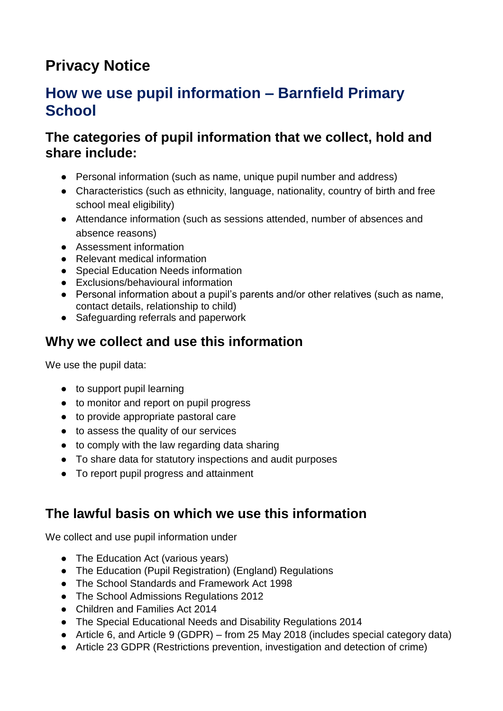# **Privacy Notice**

# **How we use pupil information – Barnfield Primary School**

#### **The categories of pupil information that we collect, hold and share include:**

- Personal information (such as name, unique pupil number and address)
- Characteristics (such as ethnicity, language, nationality, country of birth and free school meal eligibility)
- Attendance information (such as sessions attended, number of absences and absence reasons)
- Assessment information
- Relevant medical information
- Special Education Needs information
- Exclusions/behavioural information
- Personal information about a pupil's parents and/or other relatives (such as name, contact details, relationship to child)
- Safeguarding referrals and paperwork

### **Why we collect and use this information**

We use the pupil data:

- to support pupil learning
- to monitor and report on pupil progress
- to provide appropriate pastoral care
- to assess the quality of our services
- to comply with the law regarding data sharing
- To share data for statutory inspections and audit purposes
- To report pupil progress and attainment

### **The lawful basis on which we use this information**

We collect and use pupil information under

- The Education Act (various years)
- The Education (Pupil Registration) (England) Regulations
- The School Standards and Framework Act 1998
- The School Admissions Regulations 2012
- Children and Families Act 2014
- The Special Educational Needs and Disability Regulations 2014
- Article 6, and Article 9 (GDPR) from 25 May 2018 (includes special category data)
- Article 23 GDPR (Restrictions prevention, investigation and detection of crime)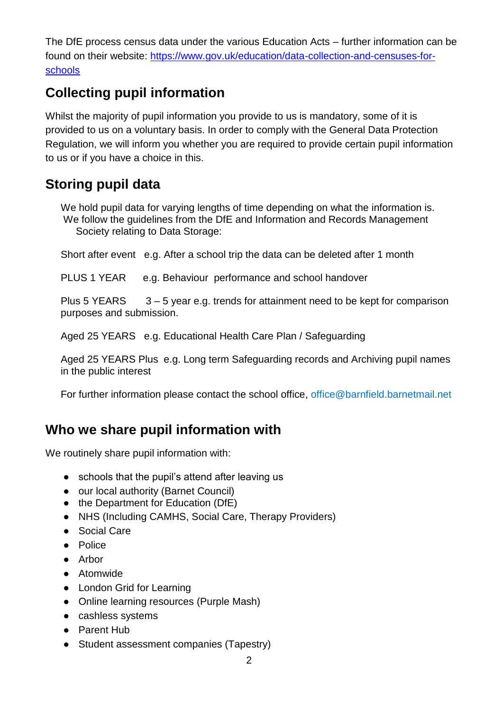The DfE process census data under the various Education Acts – further information can be found on their website: [https://www.gov.uk/education/data-collection-and-censuses-for](https://www.gov.uk/education/data-collection-and-censuses-for-schools)[schools](https://www.gov.uk/education/data-collection-and-censuses-for-schools)

# **Collecting pupil information**

Whilst the majority of pupil information you provide to us is mandatory, some of it is provided to us on a voluntary basis. In order to comply with the General Data Protection Regulation, we will inform you whether you are required to provide certain pupil information to us or if you have a choice in this.

### **Storing pupil data**

We hold pupil data for varying lengths of time depending on what the information is. We follow the guidelines from the DfE and Information and Records Management Society relating to Data Storage:

Short after event e.g. After a school trip the data can be deleted after 1 month

PLUS 1 YEAR e.g. Behaviour performance and school handover

Plus 5 YEARS  $3 - 5$  year e.g. trends for attainment need to be kept for comparison purposes and submission.

Aged 25 YEARS e.g. Educational Health Care Plan / Safeguarding

Aged 25 YEARS Plus e.g. Long term Safeguarding records and Archiving pupil names in the public interest

For further information please contact the school office, office@barnfield.barnetmail.net

#### **Who we share pupil information with**

We routinely share pupil information with:

- schools that the pupil's attend after leaving us
- our local authority (Barnet Council)
- the Department for Education (DfE)
- NHS (Including CAMHS, Social Care, Therapy Providers)
- Social Care
- Police
- Arbor
- Atomwide
- London Grid for Learning
- Online learning resources (Purple Mash)
- cashless systems
- Parent Hub
- Student assessment companies (Tapestry)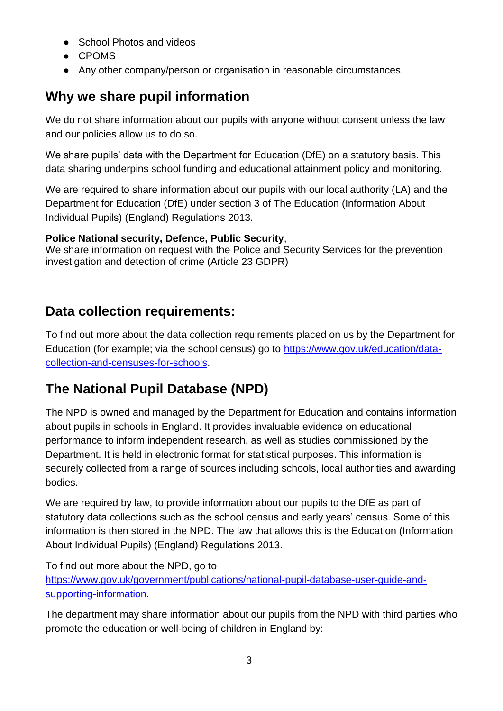- School Photos and videos
- CPOMS
- Any other company/person or organisation in reasonable circumstances

# **Why we share pupil information**

We do not share information about our pupils with anyone without consent unless the law and our policies allow us to do so.

We share pupils' data with the Department for Education (DfE) on a statutory basis. This data sharing underpins school funding and educational attainment policy and monitoring.

We are required to share information about our pupils with our local authority (LA) and the Department for Education (DfE) under section 3 of The Education (Information About Individual Pupils) (England) Regulations 2013.

#### **Police National security, Defence, Public Security**,

We share information on request with the Police and Security Services for the prevention investigation and detection of crime (Article 23 GDPR)

# **Data collection requirements:**

To find out more about the data collection requirements placed on us by the Department for Education (for example; via the school census) go to [https://www.gov.uk/education/data](https://www.gov.uk/education/data-collection-and-censuses-for-schools)[collection-and-censuses-for-schools.](https://www.gov.uk/education/data-collection-and-censuses-for-schools)

# **The National Pupil Database (NPD)**

The NPD is owned and managed by the Department for Education and contains information about pupils in schools in England. It provides invaluable evidence on educational performance to inform independent research, as well as studies commissioned by the Department. It is held in electronic format for statistical purposes. This information is securely collected from a range of sources including schools, local authorities and awarding bodies.

We are required by law, to provide information about our pupils to the DfE as part of statutory data collections such as the school census and early years' census. Some of this information is then stored in the NPD. The law that allows this is the Education (Information About Individual Pupils) (England) Regulations 2013.

To find out more about the NPD, go to [https://www.gov.uk/government/publications/national-pupil-database-user-guide-and](https://www.gov.uk/government/publications/national-pupil-database-user-guide-and-supporting-information)[supporting-information.](https://www.gov.uk/government/publications/national-pupil-database-user-guide-and-supporting-information)

The department may share information about our pupils from the NPD with third parties who promote the education or well-being of children in England by: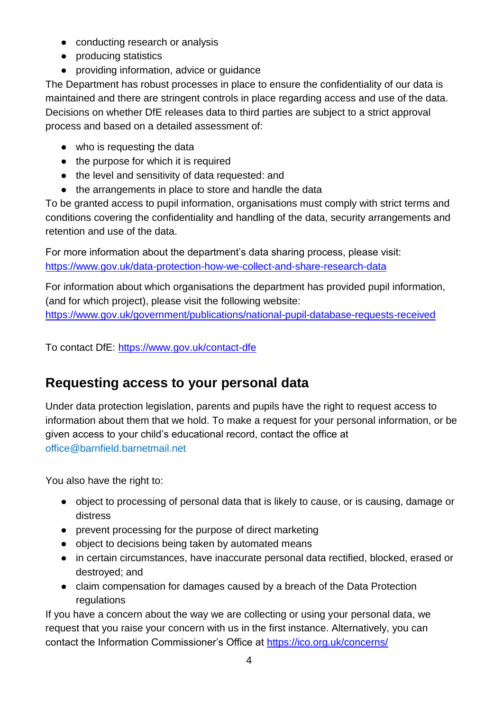- conducting research or analysis
- producing statistics
- providing information, advice or guidance

The Department has robust processes in place to ensure the confidentiality of our data is maintained and there are stringent controls in place regarding access and use of the data. Decisions on whether DfE releases data to third parties are subject to a strict approval process and based on a detailed assessment of:

- who is requesting the data
- the purpose for which it is required
- the level and sensitivity of data requested: and
- the arrangements in place to store and handle the data

To be granted access to pupil information, organisations must comply with strict terms and conditions covering the confidentiality and handling of the data, security arrangements and retention and use of the data.

For more information about the department's data sharing process, please visit: <https://www.gov.uk/data-protection-how-we-collect-and-share-research-data>

For information about which organisations the department has provided pupil information, (and for which project), please visit the following website: <https://www.gov.uk/government/publications/national-pupil-database-requests-received>

To contact DfE:<https://www.gov.uk/contact-dfe>

### **Requesting access to your personal data**

Under data protection legislation, parents and pupils have the right to request access to information about them that we hold. To make a request for your personal information, or be given access to your child's educational record, contact the office at office@barnfield.barnetmail.net

You also have the right to:

- object to processing of personal data that is likely to cause, or is causing, damage or distress
- prevent processing for the purpose of direct marketing
- object to decisions being taken by automated means
- in certain circumstances, have inaccurate personal data rectified, blocked, erased or destroyed; and
- claim compensation for damages caused by a breach of the Data Protection regulations

If you have a concern about the way we are collecting or using your personal data, we request that you raise your concern with us in the first instance. Alternatively, you can contact the Information Commissioner's Office at<https://ico.org.uk/concerns/>